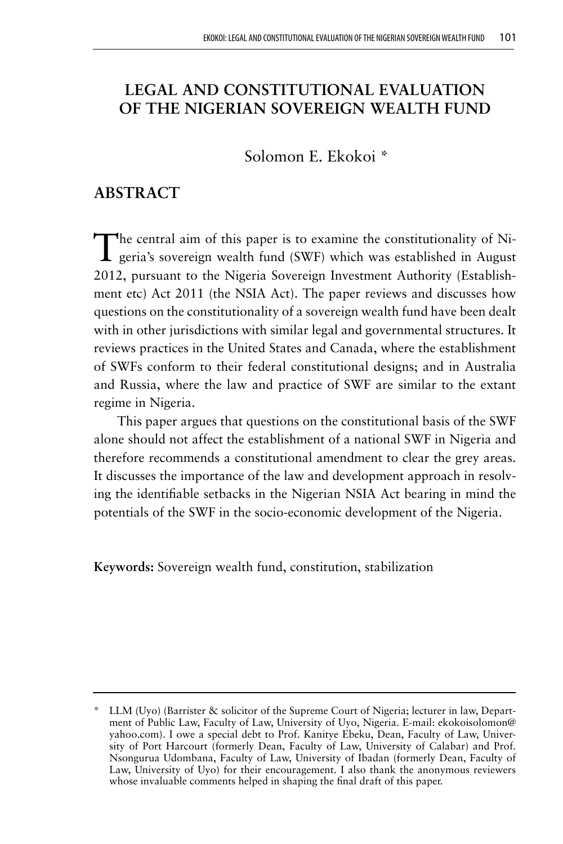# **LEGAL AND CONSTITUTIONAL EVALUATION OF THE NIGERIAN SOVEREIGN WEALTH FUND**

Solomon E. Ekokoi \*

# **ABSTRACT**

The central aim of this paper is to examine the constitutionality of Ni-geria's sovereign wealth fund (SWF) which was established in August 2012, pursuant to the Nigeria Sovereign Investment Authority (Establishment etc) Act 2011 (the NSIA Act). The paper reviews and discusses how questions on the constitutionality of a sovereign wealth fund have been dealt with in other jurisdictions with similar legal and governmental structures. It reviews practices in the United States and Canada, where the establishment of SWFs conform to their federal constitutional designs; and in Australia and Russia, where the law and practice of SWF are similar to the extant regime in Nigeria.

This paper argues that questions on the constitutional basis of the SWF alone should not affect the establishment of a national SWF in Nigeria and therefore recommends a constitutional amendment to clear the grey areas. It discusses the importance of the law and development approach in resolving the identifiable setbacks in the Nigerian NSIA Act bearing in mind the potentials of the SWF in the socio-economic development of the Nigeria.

**Keywords:** Sovereign wealth fund, constitution, stabilization

LLM (Uyo) (Barrister & solicitor of the Supreme Court of Nigeria; lecturer in law, Department of Public Law, Faculty of Law, University of Uyo, Nigeria. E-mail: ekokoisolomon@ yahoo.com). I owe a special debt to Prof. Kanitye Ebeku, Dean, Faculty of Law, University of Port Harcourt (formerly Dean, Faculty of Law, University of Calabar) and Prof. Nsongurua Udombana, Faculty of Law, University of Ibadan (formerly Dean, Faculty of Law, University of Uyo) for their encouragement. I also thank the anonymous reviewers whose invaluable comments helped in shaping the final draft of this paper.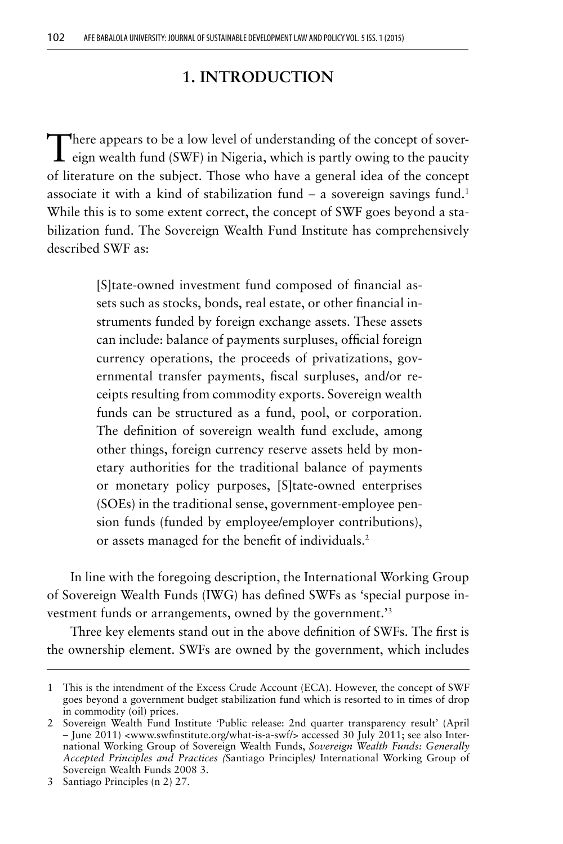## **1. INTRODUCTION**

There appears to be a low level of understanding of the concept of sover- $\perp$  eign wealth fund (SWF) in Nigeria, which is partly owing to the paucity of literature on the subject. Those who have a general idea of the concept associate it with a kind of stabilization fund  $-$  a sovereign savings fund.<sup>1</sup> While this is to some extent correct, the concept of SWF goes beyond a stabilization fund. The Sovereign Wealth Fund Institute has comprehensively described SWF as:

> [S]tate-owned investment fund composed of financial assets such as stocks, bonds, real estate, or other financial instruments funded by foreign exchange assets. These assets can include: balance of payments surpluses, official foreign currency operations, the proceeds of privatizations, governmental transfer payments, fiscal surpluses, and/or receipts resulting from commodity exports. Sovereign wealth funds can be structured as a fund, pool, or corporation. The definition of sovereign wealth fund exclude, among other things, foreign currency reserve assets held by monetary authorities for the traditional balance of payments or monetary policy purposes, [S]tate-owned enterprises (SOEs) in the traditional sense, government-employee pension funds (funded by employee/employer contributions), or assets managed for the benefit of individuals.2

In line with the foregoing description, the International Working Group of Sovereign Wealth Funds (IWG) has defined SWFs as 'special purpose investment funds or arrangements, owned by the government.'3

Three key elements stand out in the above definition of SWFs. The first is the ownership element. SWFs are owned by the government, which includes

<sup>1</sup> This is the intendment of the Excess Crude Account (ECA). However, the concept of SWF goes beyond a government budget stabilization fund which is resorted to in times of drop in commodity (oil) prices.

<sup>2</sup> Sovereign Wealth Fund Institute 'Public release: 2nd quarter transparency result' (April – June 2011) <www.swfinstitute.org/what-is-a-swf/> accessed 30 July 2011; see also International Working Group of Sovereign Wealth Funds, *Sovereign Wealth Funds: Generally Accepted Principles and Practices (*Santiago Principles*)* International Working Group of Sovereign Wealth Funds 2008 3.

<sup>3</sup> Santiago Principles (n 2) 27.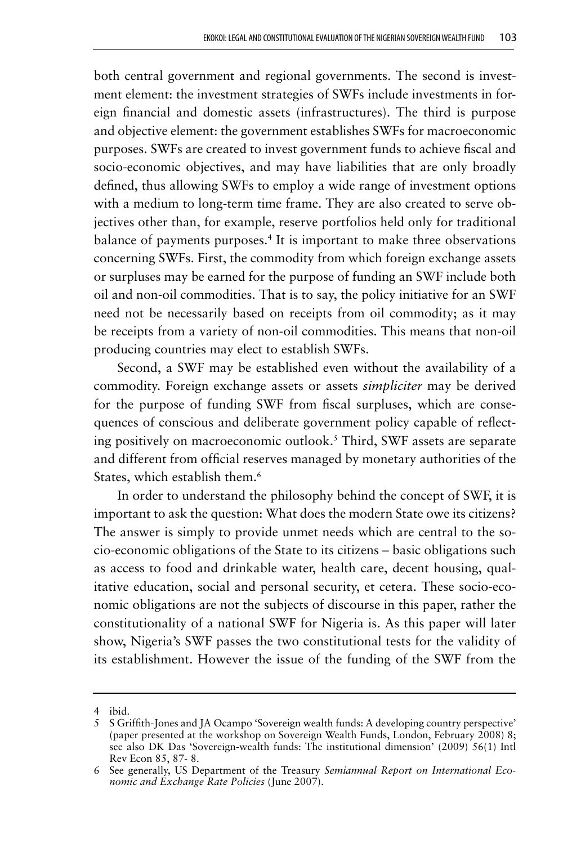both central government and regional governments. The second is investment element: the investment strategies of SWFs include investments in foreign financial and domestic assets (infrastructures). The third is purpose and objective element: the government establishes SWFs for macroeconomic purposes. SWFs are created to invest government funds to achieve fiscal and socio-economic objectives, and may have liabilities that are only broadly defined, thus allowing SWFs to employ a wide range of investment options with a medium to long-term time frame. They are also created to serve objectives other than, for example, reserve portfolios held only for traditional balance of payments purposes.<sup>4</sup> It is important to make three observations concerning SWFs. First, the commodity from which foreign exchange assets or surpluses may be earned for the purpose of funding an SWF include both oil and non-oil commodities. That is to say, the policy initiative for an SWF need not be necessarily based on receipts from oil commodity; as it may be receipts from a variety of non-oil commodities. This means that non-oil producing countries may elect to establish SWFs.

Second, a SWF may be established even without the availability of a commodity. Foreign exchange assets or assets *simpliciter* may be derived for the purpose of funding SWF from fiscal surpluses, which are consequences of conscious and deliberate government policy capable of reflecting positively on macroeconomic outlook.5 Third, SWF assets are separate and different from official reserves managed by monetary authorities of the States, which establish them.<sup>6</sup>

In order to understand the philosophy behind the concept of SWF, it is important to ask the question: What does the modern State owe its citizens? The answer is simply to provide unmet needs which are central to the socio-economic obligations of the State to its citizens – basic obligations such as access to food and drinkable water, health care, decent housing, qualitative education, social and personal security, et cetera. These socio-economic obligations are not the subjects of discourse in this paper, rather the constitutionality of a national SWF for Nigeria is. As this paper will later show, Nigeria's SWF passes the two constitutional tests for the validity of its establishment. However the issue of the funding of the SWF from the

<sup>4</sup> ibid.

<sup>5</sup> S Griffith-Jones and JA Ocampo 'Sovereign wealth funds: A developing country perspective' (paper presented at the workshop on Sovereign Wealth Funds, London, February 2008) 8; see also DK Das 'Sovereign-wealth funds: The institutional dimension' (2009) 56(1) Intl Rev Econ 85, 87- 8.

<sup>6</sup> See generally, US Department of the Treasury *Semiannual Report on International Economic and Exchange Rate Policies* (June 2007).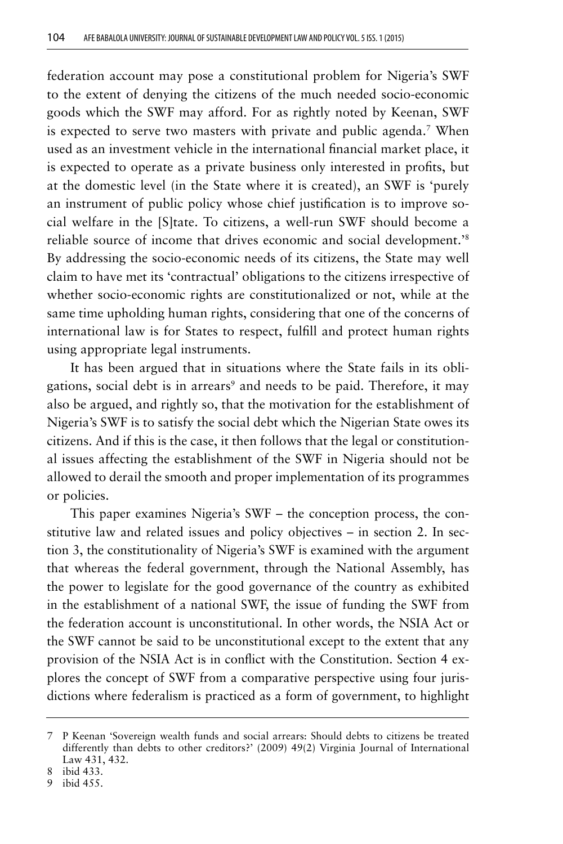federation account may pose a constitutional problem for Nigeria's SWF to the extent of denying the citizens of the much needed socio-economic goods which the SWF may afford. For as rightly noted by Keenan, SWF is expected to serve two masters with private and public agenda.<sup>7</sup> When used as an investment vehicle in the international financial market place, it is expected to operate as a private business only interested in profits, but at the domestic level (in the State where it is created), an SWF is 'purely an instrument of public policy whose chief justification is to improve social welfare in the [S]tate. To citizens, a well-run SWF should become a reliable source of income that drives economic and social development.'8 By addressing the socio-economic needs of its citizens, the State may well claim to have met its 'contractual' obligations to the citizens irrespective of whether socio-economic rights are constitutionalized or not, while at the same time upholding human rights, considering that one of the concerns of international law is for States to respect, fulfill and protect human rights using appropriate legal instruments.

It has been argued that in situations where the State fails in its obligations, social debt is in arrears<sup>9</sup> and needs to be paid. Therefore, it may also be argued, and rightly so, that the motivation for the establishment of Nigeria's SWF is to satisfy the social debt which the Nigerian State owes its citizens. And if this is the case, it then follows that the legal or constitutional issues affecting the establishment of the SWF in Nigeria should not be allowed to derail the smooth and proper implementation of its programmes or policies.

This paper examines Nigeria's SWF – the conception process, the constitutive law and related issues and policy objectives – in section 2. In section 3, the constitutionality of Nigeria's SWF is examined with the argument that whereas the federal government, through the National Assembly, has the power to legislate for the good governance of the country as exhibited in the establishment of a national SWF, the issue of funding the SWF from the federation account is unconstitutional. In other words, the NSIA Act or the SWF cannot be said to be unconstitutional except to the extent that any provision of the NSIA Act is in conflict with the Constitution. Section 4 explores the concept of SWF from a comparative perspective using four jurisdictions where federalism is practiced as a form of government, to highlight

<sup>7</sup> P Keenan 'Sovereign wealth funds and social arrears: Should debts to citizens be treated differently than debts to other creditors?' (2009) 49(2) Virginia Journal of International Law 431, 432.

<sup>8</sup> ibid 433.

<sup>9</sup> ibid 455.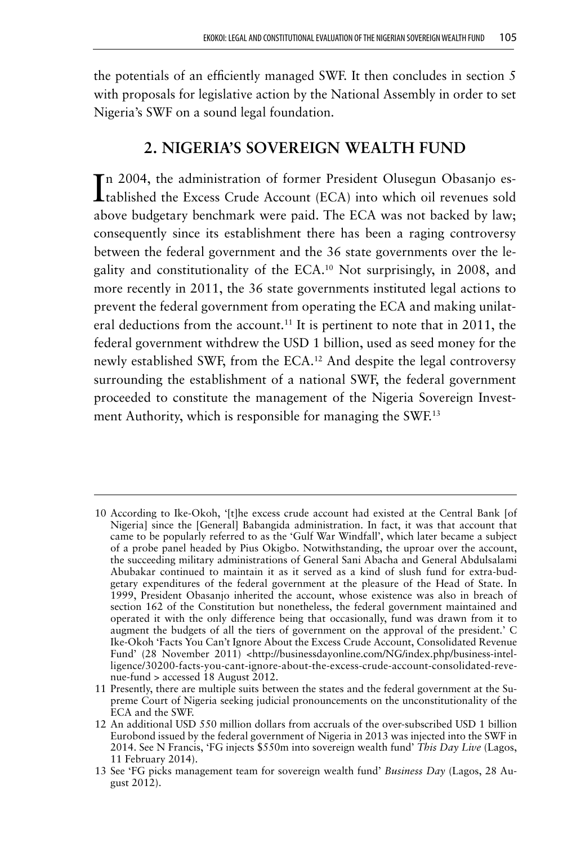the potentials of an efficiently managed SWF. It then concludes in section 5 with proposals for legislative action by the National Assembly in order to set Nigeria's SWF on a sound legal foundation.

# **2. NIGERIA'S SOVEREIGN WEALTH FUND**

In 2004, the administration of former President Olusegun Obasanjo es-<br>
tablished the Excess Crude Account (ECA) into which oil revenues sold n 2004, the administration of former President Olusegun Obasanjo esabove budgetary benchmark were paid. The ECA was not backed by law; consequently since its establishment there has been a raging controversy between the federal government and the 36 state governments over the legality and constitutionality of the ECA.10 Not surprisingly, in 2008, and more recently in 2011, the 36 state governments instituted legal actions to prevent the federal government from operating the ECA and making unilateral deductions from the account.<sup>11</sup> It is pertinent to note that in 2011, the federal government withdrew the USD 1 billion, used as seed money for the newly established SWF, from the ECA.12 And despite the legal controversy surrounding the establishment of a national SWF, the federal government proceeded to constitute the management of the Nigeria Sovereign Investment Authority, which is responsible for managing the SWF.<sup>13</sup>

<sup>10</sup> According to Ike-Okoh, '[t]he excess crude account had existed at the Central Bank [of Nigeria] since the [General] Babangida administration. In fact, it was that account that came to be popularly referred to as the 'Gulf War Windfall', which later became a subject of a probe panel headed by Pius Okigbo. Notwithstanding, the uproar over the account, the succeeding military administrations of General Sani Abacha and General Abdulsalami Abubakar continued to maintain it as it served as a kind of slush fund for extra-budgetary expenditures of the federal government at the pleasure of the Head of State. In 1999, President Obasanjo inherited the account, whose existence was also in breach of section 162 of the Constitution but nonetheless, the federal government maintained and operated it with the only difference being that occasionally, fund was drawn from it to augment the budgets of all the tiers of government on the approval of the president.' C Ike-Okoh 'Facts You Can't Ignore About the Excess Crude Account, Consolidated Revenue Fund' (28 November 2011) <http://businessdayonline.com/NG/index.php/business-intelligence/30200-facts-you-cant-ignore-about-the-excess-crude-account-consolidated-revenue-fund > accessed 18 August 2012.

<sup>11</sup> Presently, there are multiple suits between the states and the federal government at the Supreme Court of Nigeria seeking judicial pronouncements on the unconstitutionality of the ECA and the SWF.

<sup>12</sup> An additional USD 550 million dollars from accruals of the over-subscribed USD 1 billion Eurobond issued by the federal government of Nigeria in 2013 was injected into the SWF in 2014. See N Francis, 'FG injects \$550m into sovereign wealth fund' *This Day Live* (Lagos, 11 February 2014).

<sup>13</sup> See 'FG picks management team for sovereign wealth fund' *Business Day* (Lagos, 28 August 2012).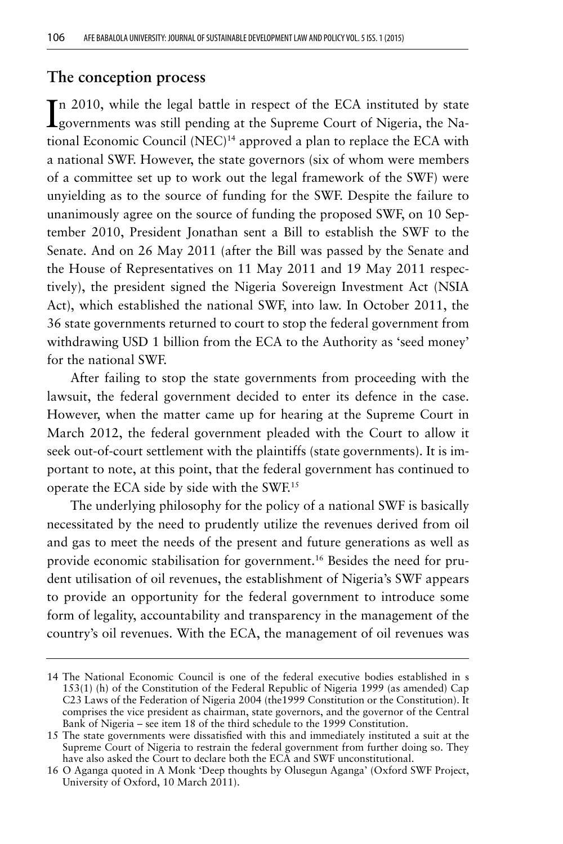#### **The conception process**

In 2010, while the legal battle in respect of the ECA instituted by state governments was still pending at the Supreme Court of Nigeria, the Nagovernments was still pending at the Supreme Court of Nigeria, the National Economic Council (NEC)14 approved a plan to replace the ECA with a national SWF. However, the state governors (six of whom were members of a committee set up to work out the legal framework of the SWF) were unyielding as to the source of funding for the SWF. Despite the failure to unanimously agree on the source of funding the proposed SWF, on 10 September 2010, President Jonathan sent a Bill to establish the SWF to the Senate. And on 26 May 2011 (after the Bill was passed by the Senate and the House of Representatives on 11 May 2011 and 19 May 2011 respectively), the president signed the Nigeria Sovereign Investment Act (NSIA Act), which established the national SWF, into law. In October 2011, the 36 state governments returned to court to stop the federal government from withdrawing USD 1 billion from the ECA to the Authority as 'seed money' for the national SWF.

After failing to stop the state governments from proceeding with the lawsuit, the federal government decided to enter its defence in the case. However, when the matter came up for hearing at the Supreme Court in March 2012, the federal government pleaded with the Court to allow it seek out-of-court settlement with the plaintiffs (state governments). It is important to note, at this point, that the federal government has continued to operate the ECA side by side with the SWF.15

The underlying philosophy for the policy of a national SWF is basically necessitated by the need to prudently utilize the revenues derived from oil and gas to meet the needs of the present and future generations as well as provide economic stabilisation for government.16 Besides the need for prudent utilisation of oil revenues, the establishment of Nigeria's SWF appears to provide an opportunity for the federal government to introduce some form of legality, accountability and transparency in the management of the country's oil revenues. With the ECA, the management of oil revenues was

<sup>14</sup> The National Economic Council is one of the federal executive bodies established in s 153(1) (h) of the Constitution of the Federal Republic of Nigeria 1999 (as amended) Cap C23 Laws of the Federation of Nigeria 2004 (the1999 Constitution or the Constitution). It comprises the vice president as chairman, state governors, and the governor of the Central Bank of Nigeria – see item 18 of the third schedule to the 1999 Constitution.

<sup>15</sup> The state governments were dissatisfied with this and immediately instituted a suit at the Supreme Court of Nigeria to restrain the federal government from further doing so. They have also asked the Court to declare both the ECA and SWF unconstitutional.

<sup>16</sup> O Aganga quoted in A Monk 'Deep thoughts by Olusegun Aganga' (Oxford SWF Project, University of Oxford, 10 March 2011).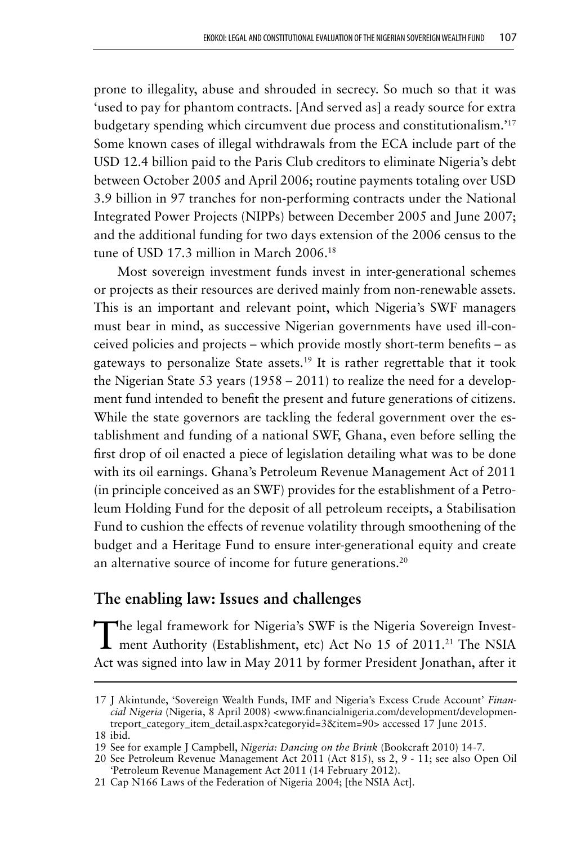prone to illegality, abuse and shrouded in secrecy. So much so that it was 'used to pay for phantom contracts. [And served as] a ready source for extra budgetary spending which circumvent due process and constitutionalism.'17 Some known cases of illegal withdrawals from the ECA include part of the USD 12.4 billion paid to the Paris Club creditors to eliminate Nigeria's debt between October 2005 and April 2006; routine payments totaling over USD 3.9 billion in 97 tranches for non-performing contracts under the National Integrated Power Projects (NIPPs) between December 2005 and June 2007; and the additional funding for two days extension of the 2006 census to the tune of USD 17.3 million in March 2006.<sup>18</sup>

Most sovereign investment funds invest in inter-generational schemes or projects as their resources are derived mainly from non-renewable assets. This is an important and relevant point, which Nigeria's SWF managers must bear in mind, as successive Nigerian governments have used ill-conceived policies and projects – which provide mostly short-term benefits – as gateways to personalize State assets.<sup>19</sup> It is rather regrettable that it took the Nigerian State 53 years (1958 – 2011) to realize the need for a development fund intended to benefit the present and future generations of citizens. While the state governors are tackling the federal government over the establishment and funding of a national SWF, Ghana, even before selling the first drop of oil enacted a piece of legislation detailing what was to be done with its oil earnings. Ghana's Petroleum Revenue Management Act of 2011 (in principle conceived as an SWF) provides for the establishment of a Petroleum Holding Fund for the deposit of all petroleum receipts, a Stabilisation Fund to cushion the effects of revenue volatility through smoothening of the budget and a Heritage Fund to ensure inter-generational equity and create an alternative source of income for future generations.<sup>20</sup>

## **The enabling law: Issues and challenges**

The legal framework for Nigeria's SWF is the Nigeria Sovereign Invest-1 ment Authority (Establishment, etc) Act No 15 of 2011.<sup>21</sup> The NSIA Act was signed into law in May 2011 by former President Jonathan, after it

<sup>17</sup> J Akintunde, 'Sovereign Wealth Funds, IMF and Nigeria's Excess Crude Account' *Financial Nigeria* (Nigeria, 8 April 2008) <www.financialnigeria.com/development/developmentreport\_category\_item\_detail.aspx?categoryid=3&item=90> accessed 17 June 2015. 18 ibid.

<sup>19</sup> See for example J Campbell, *Nigeria: Dancing on the Brink* (Bookcraft 2010) 14-7.

<sup>20</sup> See Petroleum Revenue Management Act 2011 (Act 815), ss 2, 9 - 11; see also Open Oil 'Petroleum Revenue Management Act 2011 (14 February 2012).

<sup>21</sup> Cap N166 Laws of the Federation of Nigeria 2004; [the NSIA Act].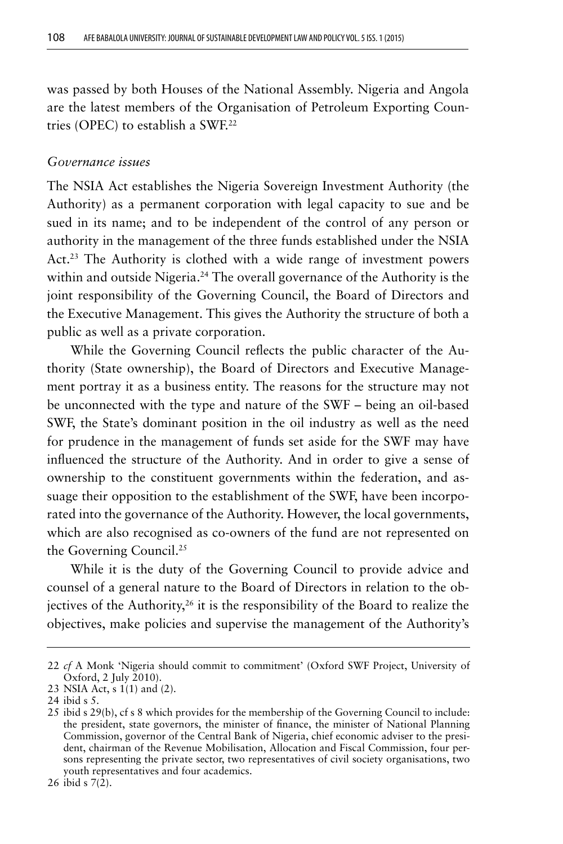was passed by both Houses of the National Assembly. Nigeria and Angola are the latest members of the Organisation of Petroleum Exporting Countries (OPEC) to establish a SWF.22

#### *Governance issues*

The NSIA Act establishes the Nigeria Sovereign Investment Authority (the Authority) as a permanent corporation with legal capacity to sue and be sued in its name; and to be independent of the control of any person or authority in the management of the three funds established under the NSIA Act.<sup>23</sup> The Authority is clothed with a wide range of investment powers within and outside Nigeria.<sup>24</sup> The overall governance of the Authority is the joint responsibility of the Governing Council, the Board of Directors and the Executive Management. This gives the Authority the structure of both a public as well as a private corporation.

While the Governing Council reflects the public character of the Authority (State ownership), the Board of Directors and Executive Management portray it as a business entity. The reasons for the structure may not be unconnected with the type and nature of the SWF – being an oil-based SWF, the State's dominant position in the oil industry as well as the need for prudence in the management of funds set aside for the SWF may have influenced the structure of the Authority. And in order to give a sense of ownership to the constituent governments within the federation, and assuage their opposition to the establishment of the SWF, have been incorporated into the governance of the Authority. However, the local governments, which are also recognised as co-owners of the fund are not represented on the Governing Council.<sup>25</sup>

While it is the duty of the Governing Council to provide advice and counsel of a general nature to the Board of Directors in relation to the objectives of the Authority, $26$  it is the responsibility of the Board to realize the objectives, make policies and supervise the management of the Authority's

<sup>22</sup> *cf* A Monk 'Nigeria should commit to commitment' (Oxford SWF Project, University of Oxford, 2 July 2010).

<sup>23</sup> NSIA Act, s 1(1) and (2).

<sup>24</sup> ibid s 5.

<sup>25</sup> ibid s 29(b), cf s 8 which provides for the membership of the Governing Council to include: the president, state governors, the minister of finance, the minister of National Planning Commission, governor of the Central Bank of Nigeria, chief economic adviser to the president, chairman of the Revenue Mobilisation, Allocation and Fiscal Commission, four persons representing the private sector, two representatives of civil society organisations, two youth representatives and four academics.

<sup>26</sup> ibid s 7(2).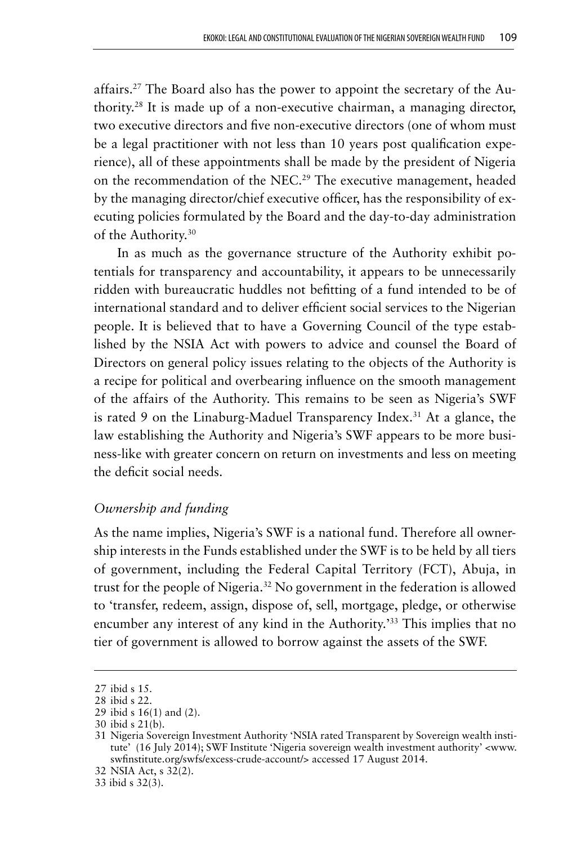affairs.<sup>27</sup> The Board also has the power to appoint the secretary of the Authority.28 It is made up of a non-executive chairman, a managing director, two executive directors and five non-executive directors (one of whom must be a legal practitioner with not less than 10 years post qualification experience), all of these appointments shall be made by the president of Nigeria on the recommendation of the NEC.<sup>29</sup> The executive management, headed by the managing director/chief executive officer, has the responsibility of executing policies formulated by the Board and the day-to-day administration of the Authority.<sup>30</sup>

In as much as the governance structure of the Authority exhibit potentials for transparency and accountability, it appears to be unnecessarily ridden with bureaucratic huddles not befitting of a fund intended to be of international standard and to deliver efficient social services to the Nigerian people. It is believed that to have a Governing Council of the type established by the NSIA Act with powers to advice and counsel the Board of Directors on general policy issues relating to the objects of the Authority is a recipe for political and overbearing influence on the smooth management of the affairs of the Authority. This remains to be seen as Nigeria's SWF is rated 9 on the Linaburg-Maduel Transparency Index.<sup>31</sup> At a glance, the law establishing the Authority and Nigeria's SWF appears to be more business-like with greater concern on return on investments and less on meeting the deficit social needs.

### *Ownership and funding*

As the name implies, Nigeria's SWF is a national fund. Therefore all ownership interests in the Funds established under the SWF is to be held by all tiers of government, including the Federal Capital Territory (FCT), Abuja, in trust for the people of Nigeria.<sup>32</sup> No government in the federation is allowed to 'transfer, redeem, assign, dispose of, sell, mortgage, pledge, or otherwise encumber any interest of any kind in the Authority.'33 This implies that no tier of government is allowed to borrow against the assets of the SWF.

<sup>27</sup> ibid s 15.

<sup>28</sup> ibid s 22.

<sup>29</sup> ibid s 16(1) and (2).

<sup>30</sup> ibid s 21(b).

<sup>31</sup> Nigeria Sovereign Investment Authority 'NSIA rated Transparent by Sovereign wealth institute' (16 July 2014); SWF Institute 'Nigeria sovereign wealth investment authority' <www. swfinstitute.org/swfs/excess-crude-account/> accessed 17 August 2014.

<sup>32</sup> NSIA Act, s 32(2).

<sup>33</sup> ibid s 32(3).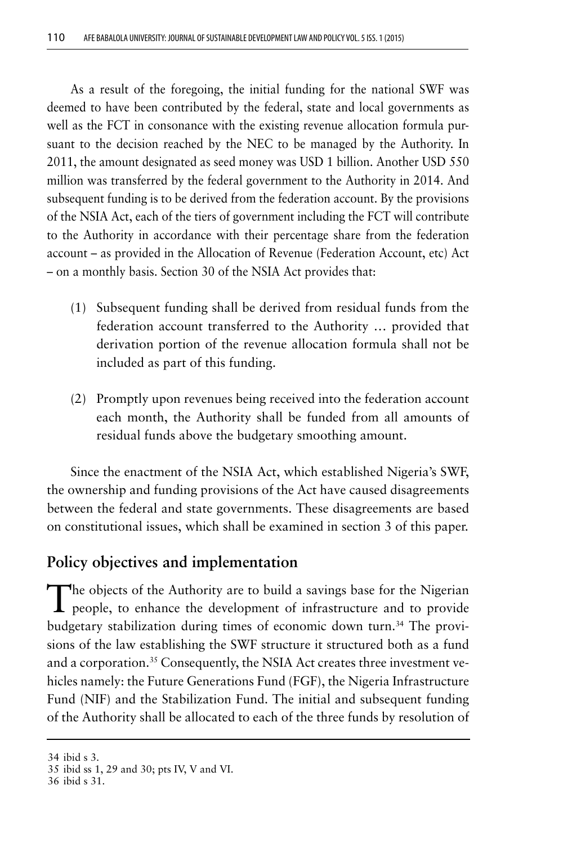As a result of the foregoing, the initial funding for the national SWF was deemed to have been contributed by the federal, state and local governments as well as the FCT in consonance with the existing revenue allocation formula pursuant to the decision reached by the NEC to be managed by the Authority. In 2011, the amount designated as seed money was USD 1 billion. Another USD 550 million was transferred by the federal government to the Authority in 2014. And subsequent funding is to be derived from the federation account. By the provisions of the NSIA Act, each of the tiers of government including the FCT will contribute to the Authority in accordance with their percentage share from the federation account – as provided in the Allocation of Revenue (Federation Account, etc) Act – on a monthly basis. Section 30 of the NSIA Act provides that:

- (1) Subsequent funding shall be derived from residual funds from the federation account transferred to the Authority … provided that derivation portion of the revenue allocation formula shall not be included as part of this funding.
- (2) Promptly upon revenues being received into the federation account each month, the Authority shall be funded from all amounts of residual funds above the budgetary smoothing amount.

Since the enactment of the NSIA Act, which established Nigeria's SWF, the ownership and funding provisions of the Act have caused disagreements between the federal and state governments. These disagreements are based on constitutional issues, which shall be examined in section 3 of this paper.

# **Policy objectives and implementation**

The objects of the Authority are to build a savings base for the Nigerian **L** people, to enhance the development of infrastructure and to provide budgetary stabilization during times of economic down turn.<sup>34</sup> The provisions of the law establishing the SWF structure it structured both as a fund and a corporation.<sup>35</sup> Consequently, the NSIA Act creates three investment vehicles namely: the Future Generations Fund (FGF), the Nigeria Infrastructure Fund (NIF) and the Stabilization Fund. The initial and subsequent funding of the Authority shall be allocated to each of the three funds by resolution of

<sup>34</sup> ibid s 3.

<sup>35</sup> ibid ss 1, 29 and 30; pts IV, V and VI.

<sup>36</sup> ibid s 31.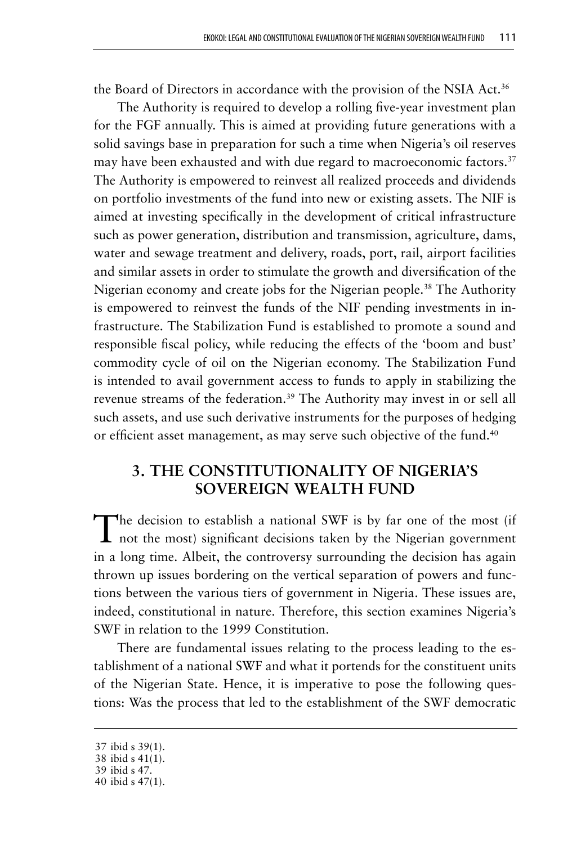the Board of Directors in accordance with the provision of the NSIA Act.<sup>36</sup>

The Authority is required to develop a rolling five-year investment plan for the FGF annually. This is aimed at providing future generations with a solid savings base in preparation for such a time when Nigeria's oil reserves may have been exhausted and with due regard to macroeconomic factors.<sup>37</sup> The Authority is empowered to reinvest all realized proceeds and dividends on portfolio investments of the fund into new or existing assets. The NIF is aimed at investing specifically in the development of critical infrastructure such as power generation, distribution and transmission, agriculture, dams, water and sewage treatment and delivery, roads, port, rail, airport facilities and similar assets in order to stimulate the growth and diversification of the Nigerian economy and create jobs for the Nigerian people.<sup>38</sup> The Authority is empowered to reinvest the funds of the NIF pending investments in infrastructure. The Stabilization Fund is established to promote a sound and responsible fiscal policy, while reducing the effects of the 'boom and bust' commodity cycle of oil on the Nigerian economy. The Stabilization Fund is intended to avail government access to funds to apply in stabilizing the revenue streams of the federation.<sup>39</sup> The Authority may invest in or sell all such assets, and use such derivative instruments for the purposes of hedging or efficient asset management, as may serve such objective of the fund.<sup>40</sup>

# **3. THE CONSTITUTIONALITY OF NIGERIA'S SOVEREIGN WEALTH FUND**

The decision to establish a national SWF is by far one of the most (if not the most) significant decisions taken by the Nigerian government in a long time. Albeit, the controversy surrounding the decision has again thrown up issues bordering on the vertical separation of powers and functions between the various tiers of government in Nigeria. These issues are, indeed, constitutional in nature. Therefore, this section examines Nigeria's SWF in relation to the 1999 Constitution.

There are fundamental issues relating to the process leading to the establishment of a national SWF and what it portends for the constituent units of the Nigerian State. Hence, it is imperative to pose the following questions: Was the process that led to the establishment of the SWF democratic

<sup>37</sup> ibid s 39(1).

<sup>38</sup> ibid s 41(1).

<sup>39</sup> ibid s 47.

<sup>40</sup> ibid s 47(1).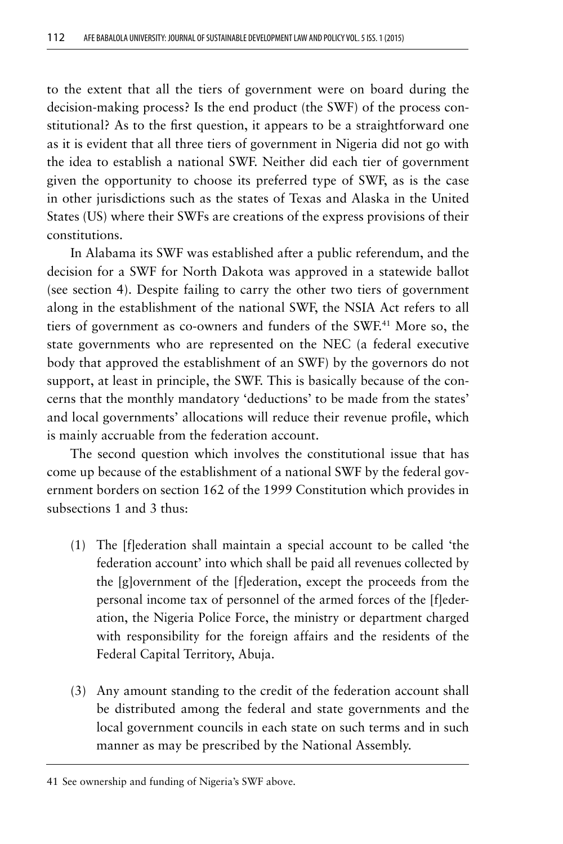to the extent that all the tiers of government were on board during the decision-making process? Is the end product (the SWF) of the process constitutional? As to the first question, it appears to be a straightforward one as it is evident that all three tiers of government in Nigeria did not go with the idea to establish a national SWF. Neither did each tier of government given the opportunity to choose its preferred type of SWF, as is the case in other jurisdictions such as the states of Texas and Alaska in the United States (US) where their SWFs are creations of the express provisions of their constitutions.

In Alabama its SWF was established after a public referendum, and the decision for a SWF for North Dakota was approved in a statewide ballot (see section 4). Despite failing to carry the other two tiers of government along in the establishment of the national SWF, the NSIA Act refers to all tiers of government as co-owners and funders of the SWF.41 More so, the state governments who are represented on the NEC (a federal executive body that approved the establishment of an SWF) by the governors do not support, at least in principle, the SWF. This is basically because of the concerns that the monthly mandatory 'deductions' to be made from the states' and local governments' allocations will reduce their revenue profile, which is mainly accruable from the federation account.

The second question which involves the constitutional issue that has come up because of the establishment of a national SWF by the federal government borders on section 162 of the 1999 Constitution which provides in subsections 1 and 3 thus:

- (1) The [f]ederation shall maintain a special account to be called 'the federation account' into which shall be paid all revenues collected by the [g]overnment of the [f]ederation, except the proceeds from the personal income tax of personnel of the armed forces of the [f]ederation, the Nigeria Police Force, the ministry or department charged with responsibility for the foreign affairs and the residents of the Federal Capital Territory, Abuja.
- (3) Any amount standing to the credit of the federation account shall be distributed among the federal and state governments and the local government councils in each state on such terms and in such manner as may be prescribed by the National Assembly.

<sup>41</sup> See ownership and funding of Nigeria's SWF above.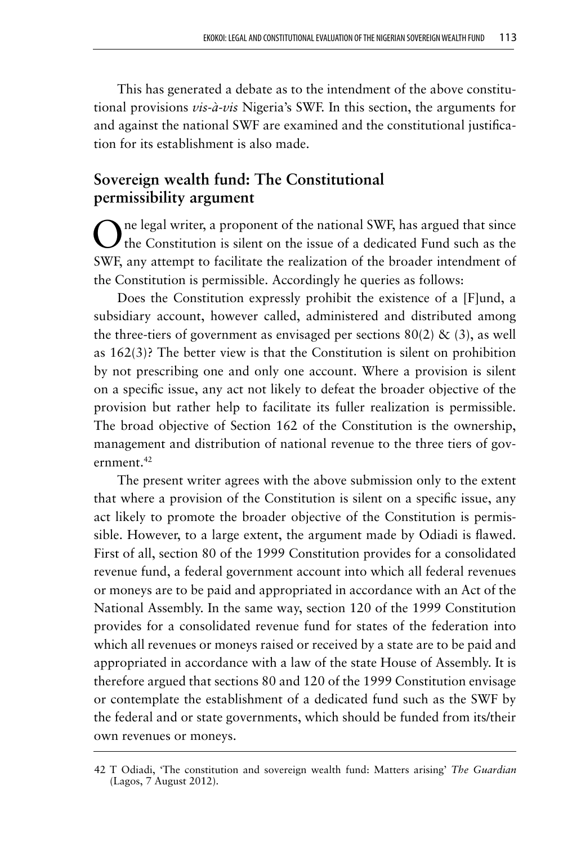This has generated a debate as to the intendment of the above constitutional provisions *vis-à-vis* Nigeria's SWF. In this section, the arguments for and against the national SWF are examined and the constitutional justification for its establishment is also made.

# **Sovereign wealth fund: The Constitutional permissibility argument**

One legal writer, a proponent of the national SWF, has argued that since the Constitution is silent on the issue of a dedicated Fund such as the SWF, any attempt to facilitate the realization of the broader intendment of the Constitution is permissible. Accordingly he queries as follows:

Does the Constitution expressly prohibit the existence of a [F]und, a subsidiary account, however called, administered and distributed among the three-tiers of government as envisaged per sections  $80(2)$  & (3), as well as 162(3)? The better view is that the Constitution is silent on prohibition by not prescribing one and only one account. Where a provision is silent on a specific issue, any act not likely to defeat the broader objective of the provision but rather help to facilitate its fuller realization is permissible. The broad objective of Section 162 of the Constitution is the ownership, management and distribution of national revenue to the three tiers of government.<sup>42</sup>

The present writer agrees with the above submission only to the extent that where a provision of the Constitution is silent on a specific issue, any act likely to promote the broader objective of the Constitution is permissible. However, to a large extent, the argument made by Odiadi is flawed. First of all, section 80 of the 1999 Constitution provides for a consolidated revenue fund, a federal government account into which all federal revenues or moneys are to be paid and appropriated in accordance with an Act of the National Assembly. In the same way, section 120 of the 1999 Constitution provides for a consolidated revenue fund for states of the federation into which all revenues or moneys raised or received by a state are to be paid and appropriated in accordance with a law of the state House of Assembly. It is therefore argued that sections 80 and 120 of the 1999 Constitution envisage or contemplate the establishment of a dedicated fund such as the SWF by the federal and or state governments, which should be funded from its/their own revenues or moneys.

<sup>42</sup> T Odiadi, 'The constitution and sovereign wealth fund: Matters arising' *The Guardian*  (Lagos, 7 August 2012).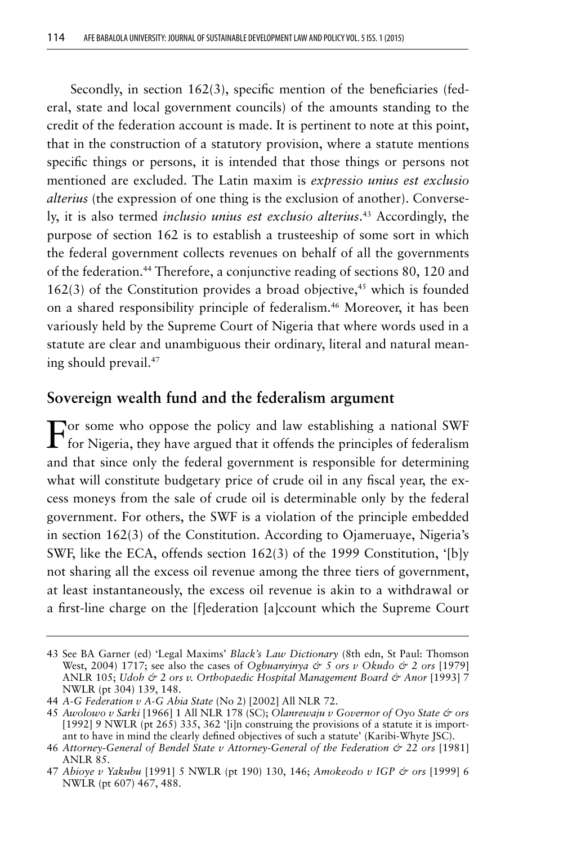Secondly, in section 162(3), specific mention of the beneficiaries (federal, state and local government councils) of the amounts standing to the credit of the federation account is made. It is pertinent to note at this point, that in the construction of a statutory provision, where a statute mentions specific things or persons, it is intended that those things or persons not mentioned are excluded. The Latin maxim is *expressio unius est exclusio alterius* (the expression of one thing is the exclusion of another). Conversely, it is also termed *inclusio unius est exclusio alterius*. 43 Accordingly, the purpose of section 162 is to establish a trusteeship of some sort in which the federal government collects revenues on behalf of all the governments of the federation.44 Therefore, a conjunctive reading of sections 80, 120 and  $162(3)$  of the Constitution provides a broad objective,<sup>45</sup> which is founded on a shared responsibility principle of federalism.<sup>46</sup> Moreover, it has been variously held by the Supreme Court of Nigeria that where words used in a statute are clear and unambiguous their ordinary, literal and natural meaning should prevail.47

### **Sovereign wealth fund and the federalism argument**

 $\mathbf F$  for Some who oppose the policy and law establishing a national SWF for Nigeria, they have argued that it offends the principles of federalism and that since only the federal government is responsible for determining what will constitute budgetary price of crude oil in any fiscal year, the excess moneys from the sale of crude oil is determinable only by the federal government. For others, the SWF is a violation of the principle embedded in section 162(3) of the Constitution. According to Ojameruaye, Nigeria's SWF, like the ECA, offends section 162(3) of the 1999 Constitution, '[b]y not sharing all the excess oil revenue among the three tiers of government, at least instantaneously, the excess oil revenue is akin to a withdrawal or a first-line charge on the [f]ederation [a]ccount which the Supreme Court

<sup>43</sup> See BA Garner (ed) 'Legal Maxims' *Black's Law Dictionary* (8th edn, St Paul: Thomson West, 2004) 1717; see also the cases of *Ogbuanyinya & 5 ors v Okudo & 2 ors* [1979] ANLR 105; *Udoh & 2 ors v. Orthopaedic Hospital Management Board & Anor* [1993] 7 NWLR (pt 304) 139, 148.

<sup>44</sup> *A-G Federation v A-G Abia State* (No 2) [2002] All NLR 72.

<sup>45</sup> *Awolowo v Sarki* [1966] 1 All NLR 178 (SC); *Olanrewaju v Governor of Oyo State & ors*  [1992] 9 NWLR (pt 265) 335, 362 '[i]n construing the provisions of a statute it is important to have in mind the clearly defined objectives of such a statute' (Karibi-Whyte JSC).

<sup>46</sup> *Attorney-General of Bendel State v Attorney-General of the Federation & 22 ors* [1981] ANLR 85.

<sup>47</sup> *Abioye v Yakubu* [1991] 5 NWLR (pt 190) 130, 146; *Amokeodo v IGP & ors* [1999] 6 NWLR (pt 607) 467, 488.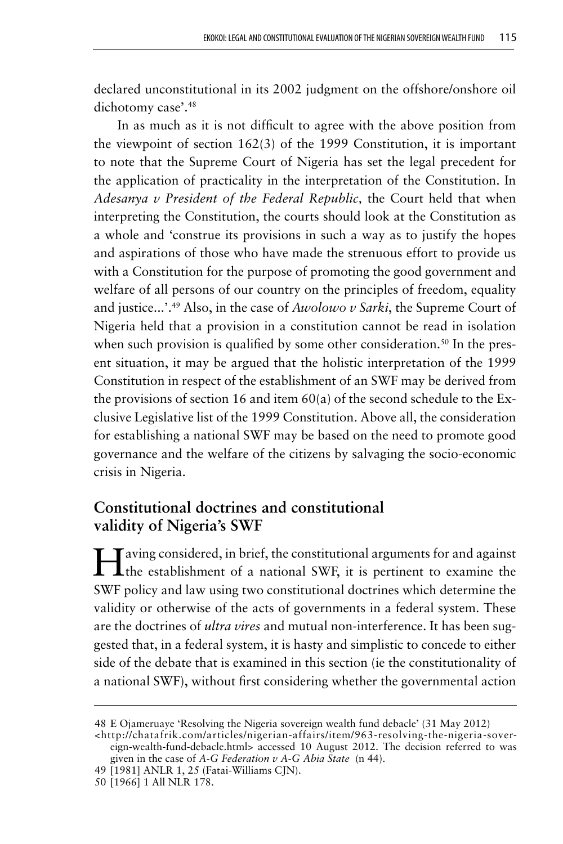declared unconstitutional in its 2002 judgment on the offshore/onshore oil dichotomy case'.<sup>48</sup>

In as much as it is not difficult to agree with the above position from the viewpoint of section 162(3) of the 1999 Constitution, it is important to note that the Supreme Court of Nigeria has set the legal precedent for the application of practicality in the interpretation of the Constitution. In *Adesanya v President of the Federal Republic,* the Court held that when interpreting the Constitution, the courts should look at the Constitution as a whole and 'construe its provisions in such a way as to justify the hopes and aspirations of those who have made the strenuous effort to provide us with a Constitution for the purpose of promoting the good government and welfare of all persons of our country on the principles of freedom, equality and justice...'.49 Also, in the case of *Awolowo v Sarki*, the Supreme Court of Nigeria held that a provision in a constitution cannot be read in isolation when such provision is qualified by some other consideration.<sup>50</sup> In the present situation, it may be argued that the holistic interpretation of the 1999 Constitution in respect of the establishment of an SWF may be derived from the provisions of section 16 and item  $60(a)$  of the second schedule to the Exclusive Legislative list of the 1999 Constitution. Above all, the consideration for establishing a national SWF may be based on the need to promote good governance and the welfare of the citizens by salvaging the socio-economic crisis in Nigeria.

# **Constitutional doctrines and constitutional validity of Nigeria's SWF**

Altri aving considered, in brief, the constitutional arguments for and against The establishment of a national SWF, it is pertinent to examine the SWF policy and law using two constitutional doctrines which determine the validity or otherwise of the acts of governments in a federal system. These are the doctrines of *ultra vires* and mutual non-interference. It has been suggested that, in a federal system, it is hasty and simplistic to concede to either side of the debate that is examined in this section (ie the constitutionality of a national SWF), without first considering whether the governmental action

<sup>48</sup> E Ojameruaye 'Resolving the Nigeria sovereign wealth fund debacle' (31 May 2012)

<sup>&</sup>lt;http://chatafrik.com/articles/nigerian-affairs/item/963-resolving-the-nigeria-sovereign-wealth-fund-debacle.html> accessed 10 August 2012. The decision referred to was given in the case of *A-G Federation v A-G Abia State* (n 44).

<sup>49</sup> [1981] ANLR 1, 25 (Fatai-Williams CJN).

<sup>50</sup> [1966] 1 All NLR 178.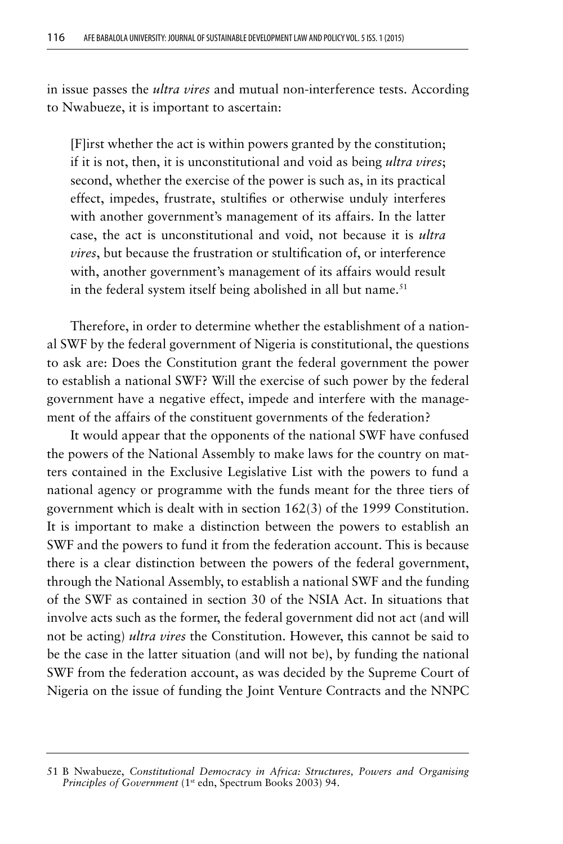in issue passes the *ultra vires* and mutual non-interference tests. According to Nwabueze, it is important to ascertain:

[F]irst whether the act is within powers granted by the constitution; if it is not, then, it is unconstitutional and void as being *ultra vires*; second, whether the exercise of the power is such as, in its practical effect, impedes, frustrate, stultifies or otherwise unduly interferes with another government's management of its affairs. In the latter case, the act is unconstitutional and void, not because it is *ultra vires*, but because the frustration or stultification of, or interference with, another government's management of its affairs would result in the federal system itself being abolished in all but name.<sup>51</sup>

Therefore, in order to determine whether the establishment of a national SWF by the federal government of Nigeria is constitutional, the questions to ask are: Does the Constitution grant the federal government the power to establish a national SWF? Will the exercise of such power by the federal government have a negative effect, impede and interfere with the management of the affairs of the constituent governments of the federation?

It would appear that the opponents of the national SWF have confused the powers of the National Assembly to make laws for the country on matters contained in the Exclusive Legislative List with the powers to fund a national agency or programme with the funds meant for the three tiers of government which is dealt with in section 162(3) of the 1999 Constitution. It is important to make a distinction between the powers to establish an SWF and the powers to fund it from the federation account. This is because there is a clear distinction between the powers of the federal government, through the National Assembly, to establish a national SWF and the funding of the SWF as contained in section 30 of the NSIA Act. In situations that involve acts such as the former, the federal government did not act (and will not be acting) *ultra vires* the Constitution. However, this cannot be said to be the case in the latter situation (and will not be), by funding the national SWF from the federation account, as was decided by the Supreme Court of Nigeria on the issue of funding the Joint Venture Contracts and the NNPC

<sup>51</sup> B Nwabueze, *Constitutional Democracy in Africa: Structures, Powers and Organising Principles of Government* (1<sup>st</sup> edn, Spectrum Books 2003) 94.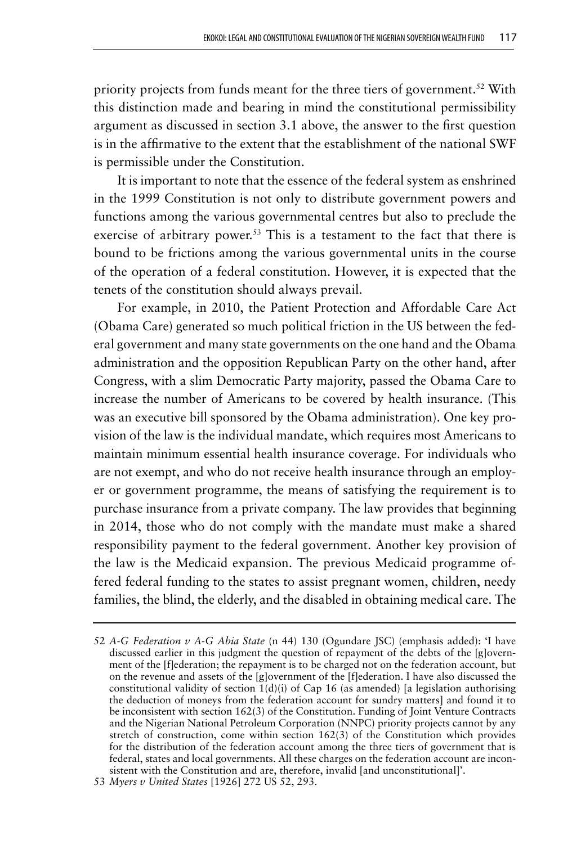priority projects from funds meant for the three tiers of government.<sup>52</sup> With this distinction made and bearing in mind the constitutional permissibility argument as discussed in section 3.1 above, the answer to the first question is in the affirmative to the extent that the establishment of the national SWF is permissible under the Constitution.

It is important to note that the essence of the federal system as enshrined in the 1999 Constitution is not only to distribute government powers and functions among the various governmental centres but also to preclude the exercise of arbitrary power.<sup>53</sup> This is a testament to the fact that there is bound to be frictions among the various governmental units in the course of the operation of a federal constitution. However, it is expected that the tenets of the constitution should always prevail.

For example, in 2010, the Patient Protection and Affordable Care Act (Obama Care) generated so much political friction in the US between the federal government and many state governments on the one hand and the Obama administration and the opposition Republican Party on the other hand, after Congress, with a slim Democratic Party majority, passed the Obama Care to increase the number of Americans to be covered by health insurance. (This was an executive bill sponsored by the Obama administration). One key provision of the law is the individual mandate, which requires most Americans to maintain minimum essential health insurance coverage. For individuals who are not exempt, and who do not receive health insurance through an employer or government programme, the means of satisfying the requirement is to purchase insurance from a private company. The law provides that beginning in 2014, those who do not comply with the mandate must make a shared responsibility payment to the federal government. Another key provision of the law is the Medicaid expansion. The previous Medicaid programme offered federal funding to the states to assist pregnant women, children, needy families, the blind, the elderly, and the disabled in obtaining medical care. The

<sup>52</sup> *A-G Federation v A-G Abia State* (n 44) 130 (Ogundare JSC) (emphasis added): 'I have discussed earlier in this judgment the question of repayment of the debts of the [g]overnment of the [f]ederation; the repayment is to be charged not on the federation account, but on the revenue and assets of the [g]overnment of the [f]ederation. I have also discussed the constitutional validity of section  $1(d)(i)$  of Cap 16 (as amended) [a legislation authorising the deduction of moneys from the federation account for sundry matters] and found it to be inconsistent with section 162(3) of the Constitution. Funding of Joint Venture Contracts and the Nigerian National Petroleum Corporation (NNPC) priority projects cannot by any stretch of construction, come within section 162(3) of the Constitution which provides for the distribution of the federation account among the three tiers of government that is federal, states and local governments. All these charges on the federation account are inconsistent with the Constitution and are, therefore, invalid [and unconstitutional]'.

<sup>53</sup> *Myers v United States* [1926] 272 US 52, 293.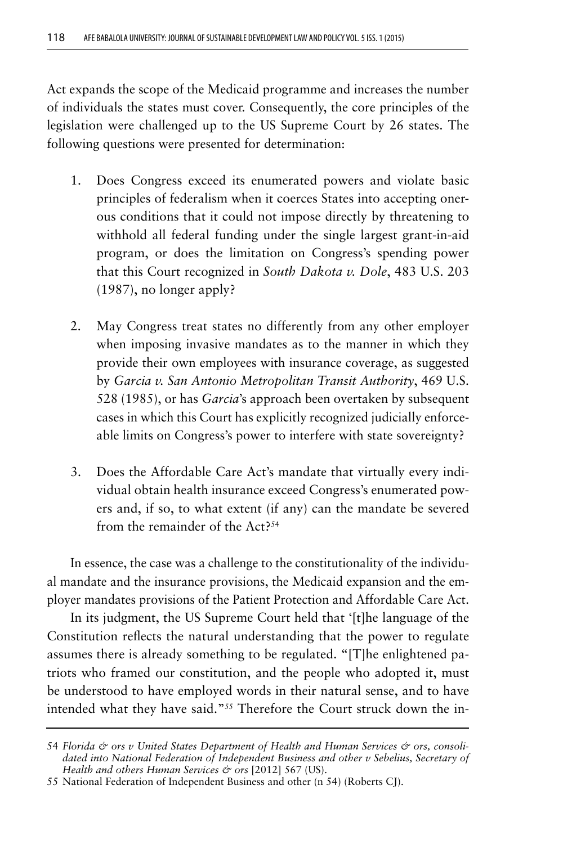Act expands the scope of the Medicaid programme and increases the number of individuals the states must cover. Consequently, the core principles of the legislation were challenged up to the US Supreme Court by 26 states. The following questions were presented for determination:

- 1. Does Congress exceed its enumerated powers and violate basic principles of federalism when it coerces States into accepting onerous conditions that it could not impose directly by threatening to withhold all federal funding under the single largest grant-in-aid program, or does the limitation on Congress's spending power that this Court recognized in *South Dakota v. Dole*, 483 U.S. 203 (1987), no longer apply?
- 2. May Congress treat states no differently from any other employer when imposing invasive mandates as to the manner in which they provide their own employees with insurance coverage, as suggested by *Garcia v. San Antonio Metropolitan Transit Authority*, 469 U.S. 528 (1985), or has *Garcia*'s approach been overtaken by subsequent cases in which this Court has explicitly recognized judicially enforceable limits on Congress's power to interfere with state sovereignty?
- 3. Does the Affordable Care Act's mandate that virtually every individual obtain health insurance exceed Congress's enumerated powers and, if so, to what extent (if any) can the mandate be severed from the remainder of the Act?54

In essence, the case was a challenge to the constitutionality of the individual mandate and the insurance provisions, the Medicaid expansion and the employer mandates provisions of the Patient Protection and Affordable Care Act.

In its judgment, the US Supreme Court held that '[t]he language of the Constitution reflects the natural understanding that the power to regulate assumes there is already something to be regulated. "[T]he enlightened patriots who framed our constitution, and the people who adopted it, must be understood to have employed words in their natural sense, and to have intended what they have said."55 Therefore the Court struck down the in-

<sup>54</sup> Florida & ors v United States Department of Health and Human Services & ors, consoli*dated into National Federation of Independent Business and other v Sebelius, Secretary of Health and others Human Services & ors* [2012] 567 (US).

<sup>55</sup> National Federation of Independent Business and other (n 54) (Roberts CJ).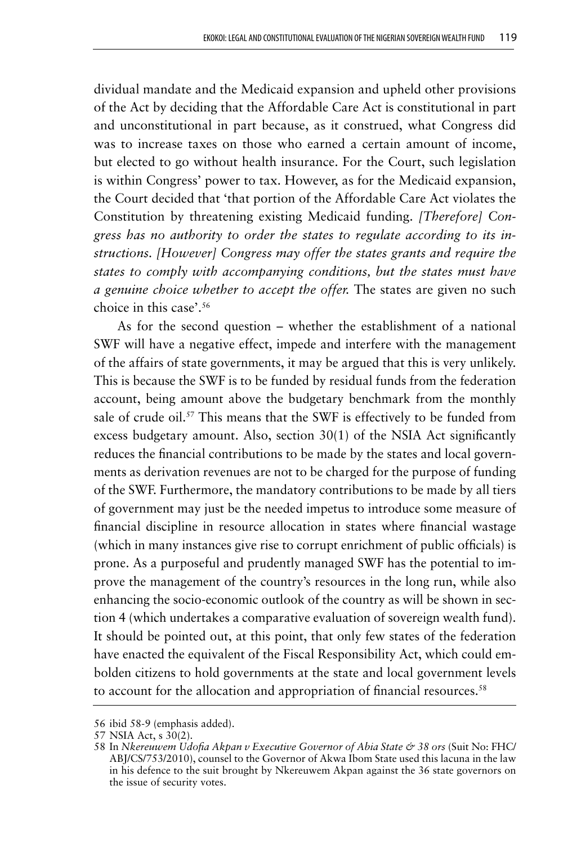dividual mandate and the Medicaid expansion and upheld other provisions of the Act by deciding that the Affordable Care Act is constitutional in part and unconstitutional in part because, as it construed, what Congress did was to increase taxes on those who earned a certain amount of income, but elected to go without health insurance. For the Court, such legislation is within Congress' power to tax. However, as for the Medicaid expansion, the Court decided that 'that portion of the Affordable Care Act violates the Constitution by threatening existing Medicaid funding. *[Therefore] Congress has no authority to order the states to regulate according to its instructions. [However] Congress may offer the states grants and require the states to comply with accompanying conditions, but the states must have a genuine choice whether to accept the offer.* The states are given no such choice in this case'.56

As for the second question – whether the establishment of a national SWF will have a negative effect, impede and interfere with the management of the affairs of state governments, it may be argued that this is very unlikely. This is because the SWF is to be funded by residual funds from the federation account, being amount above the budgetary benchmark from the monthly sale of crude oil.<sup>57</sup> This means that the SWF is effectively to be funded from excess budgetary amount. Also, section 30(1) of the NSIA Act significantly reduces the financial contributions to be made by the states and local governments as derivation revenues are not to be charged for the purpose of funding of the SWF. Furthermore, the mandatory contributions to be made by all tiers of government may just be the needed impetus to introduce some measure of financial discipline in resource allocation in states where financial wastage (which in many instances give rise to corrupt enrichment of public officials) is prone. As a purposeful and prudently managed SWF has the potential to improve the management of the country's resources in the long run, while also enhancing the socio-economic outlook of the country as will be shown in section 4 (which undertakes a comparative evaluation of sovereign wealth fund). It should be pointed out, at this point, that only few states of the federation have enacted the equivalent of the Fiscal Responsibility Act, which could embolden citizens to hold governments at the state and local government levels to account for the allocation and appropriation of financial resources.<sup>58</sup>

<sup>56</sup> ibid 58-9 (emphasis added).

<sup>57</sup> NSIA Act, s 30(2).

<sup>58</sup> In *Nkereuwem Udofia Akpan v Executive Governor of Abia State & 38 ors* (Suit No: FHC/ ABJ/CS/753/2010), counsel to the Governor of Akwa Ibom State used this lacuna in the law in his defence to the suit brought by Nkereuwem Akpan against the 36 state governors on the issue of security votes.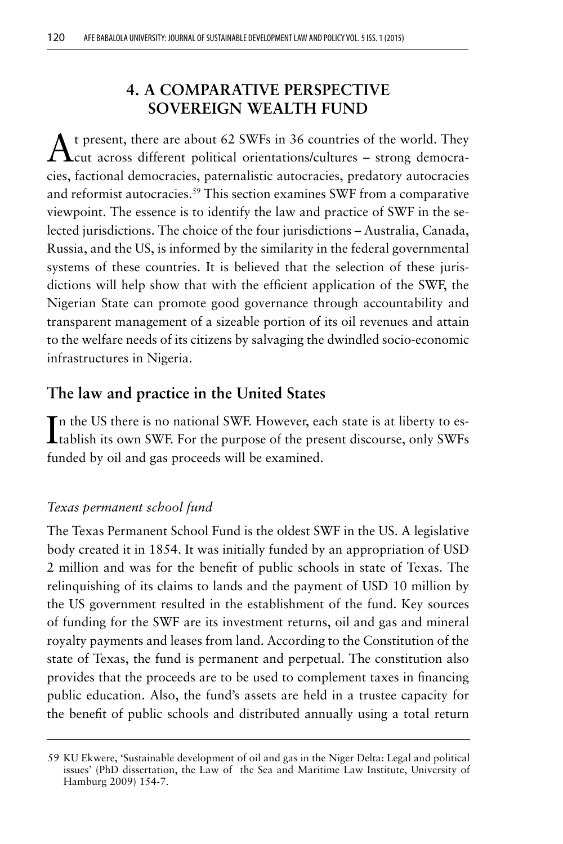# **4. A COMPARATIVE PERSPECTIVE SOVEREIGN WEALTH FUND**

At present, there are about 62 SWFs in 36 countries of the world. They cut across different political orientations/cultures – strong democracies, factional democracies, paternalistic autocracies, predatory autocracies and reformist autocracies.59 This section examines SWF from a comparative viewpoint. The essence is to identify the law and practice of SWF in the selected jurisdictions. The choice of the four jurisdictions – Australia, Canada, Russia, and the US, is informed by the similarity in the federal governmental systems of these countries. It is believed that the selection of these jurisdictions will help show that with the efficient application of the SWF, the Nigerian State can promote good governance through accountability and transparent management of a sizeable portion of its oil revenues and attain to the welfare needs of its citizens by salvaging the dwindled socio-economic infrastructures in Nigeria.

# **The law and practice in the United States**

In the US there is no national SWF. However, each state is at liberty to establish its own SWF. For the purpose of the present discourse, only SWFs n the US there is no national SWF. However, each state is at liberty to esfunded by oil and gas proceeds will be examined.

### *Texas permanent school fund*

The Texas Permanent School Fund is the oldest SWF in the US. A legislative body created it in 1854. It was initially funded by an appropriation of USD 2 million and was for the benefit of public schools in state of Texas. The relinquishing of its claims to lands and the payment of USD 10 million by the US government resulted in the establishment of the fund. Key sources of funding for the SWF are its investment returns, oil and gas and mineral royalty payments and leases from land. According to the Constitution of the state of Texas, the fund is permanent and perpetual. The constitution also provides that the proceeds are to be used to complement taxes in financing public education. Also, the fund's assets are held in a trustee capacity for the benefit of public schools and distributed annually using a total return

<sup>59</sup> KU Ekwere, 'Sustainable development of oil and gas in the Niger Delta: Legal and political issues' (PhD dissertation, the Law of the Sea and Maritime Law Institute, University of Hamburg 2009) 154-7.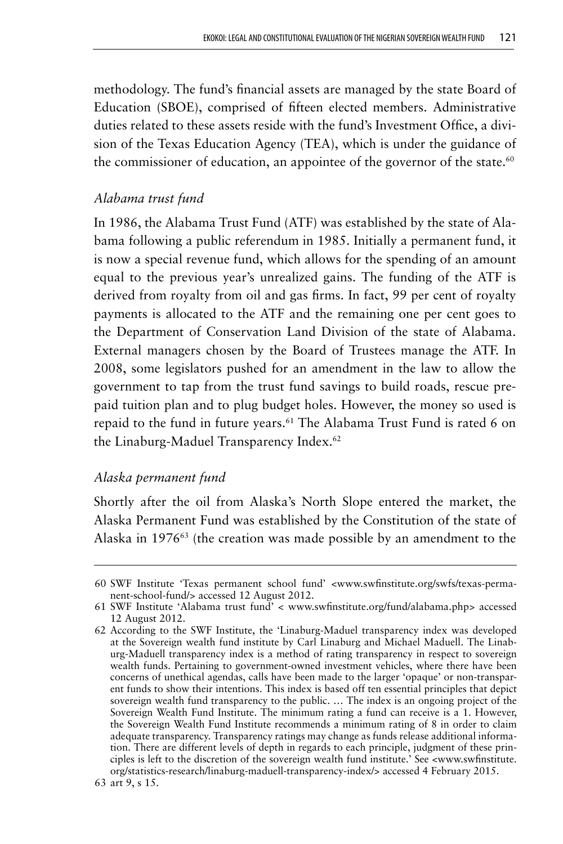methodology. The fund's financial assets are managed by the state Board of Education (SBOE), comprised of fifteen elected members. Administrative duties related to these assets reside with the fund's Investment Office, a division of the Texas Education Agency (TEA), which is under the guidance of the commissioner of education, an appointee of the governor of the state. $60$ 

#### *Alabama trust fund*

In 1986, the Alabama Trust Fund (ATF) was established by the state of Alabama following a public referendum in 1985. Initially a permanent fund, it is now a special revenue fund, which allows for the spending of an amount equal to the previous year's unrealized gains. The funding of the ATF is derived from royalty from oil and gas firms. In fact, 99 per cent of royalty payments is allocated to the ATF and the remaining one per cent goes to the Department of Conservation Land Division of the state of Alabama. External managers chosen by the Board of Trustees manage the ATF. In 2008, some legislators pushed for an amendment in the law to allow the government to tap from the trust fund savings to build roads, rescue prepaid tuition plan and to plug budget holes. However, the money so used is repaid to the fund in future years.61 The Alabama Trust Fund is rated 6 on the Linaburg-Maduel Transparency Index.<sup>62</sup>

#### *Alaska permanent fund*

Shortly after the oil from Alaska's North Slope entered the market, the Alaska Permanent Fund was established by the Constitution of the state of Alaska in 1976<sup>63</sup> (the creation was made possible by an amendment to the

<sup>60</sup> SWF Institute 'Texas permanent school fund' <www.swfinstitute.org/swfs/texas-permanent-school-fund/> accessed 12 August 2012.

<sup>61</sup> SWF Institute 'Alabama trust fund' < www.swfinstitute.org/fund/alabama.php> accessed 12 August 2012.

<sup>62</sup> According to the SWF Institute, the 'Linaburg-Maduel transparency index was developed at the Sovereign wealth fund institute by Carl Linaburg and Michael Maduell. The Linaburg-Maduell transparency index is a method of rating transparency in respect to sovereign wealth funds. Pertaining to government-owned investment vehicles, where there have been concerns of unethical agendas, calls have been made to the larger 'opaque' or non-transparent funds to show their intentions. This index is based off ten essential principles that depict sovereign wealth fund transparency to the public. … The index is an ongoing project of the Sovereign Wealth Fund Institute. The minimum rating a fund can receive is a 1. However, the Sovereign Wealth Fund Institute recommends a minimum rating of 8 in order to claim adequate transparency. Transparency ratings may change as funds release additional information. There are different levels of depth in regards to each principle, judgment of these principles is left to the discretion of the sovereign wealth fund institute.' See <www.swfinstitute. org/statistics-research/linaburg-maduell-transparency-index/> accessed 4 February 2015.

<sup>63</sup> art 9, s 15.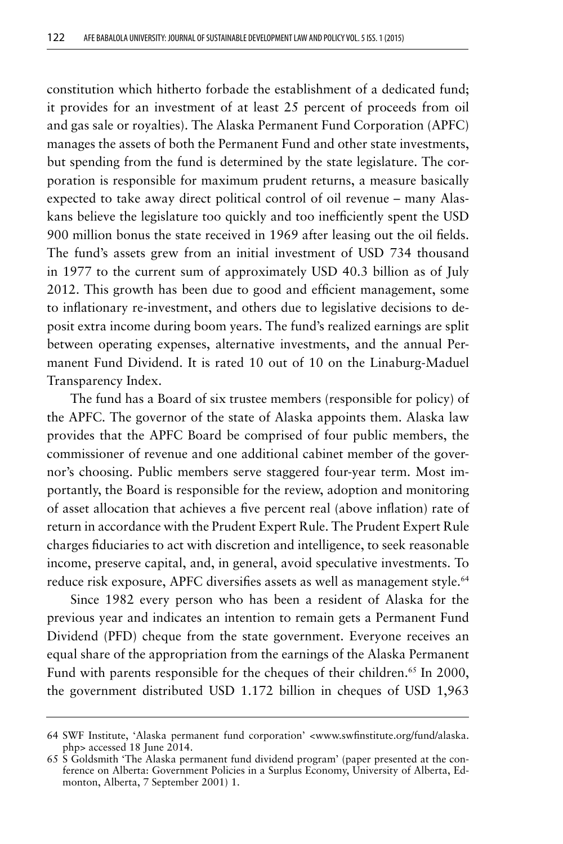constitution which hitherto forbade the establishment of a dedicated fund; it provides for an investment of at least 25 percent of proceeds from oil and gas sale or royalties). The Alaska Permanent Fund Corporation (APFC) manages the assets of both the Permanent Fund and other state investments, but spending from the fund is determined by the state legislature. The corporation is responsible for maximum prudent returns, a measure basically expected to take away direct political control of oil revenue – many Alaskans believe the legislature too quickly and too inefficiently spent the USD 900 million bonus the state received in 1969 after leasing out the oil fields. The fund's assets grew from an initial investment of USD 734 thousand in 1977 to the current sum of approximately USD 40.3 billion as of July 2012. This growth has been due to good and efficient management, some to inflationary re-investment, and others due to legislative decisions to deposit extra income during boom years. The fund's realized earnings are split between operating expenses, alternative investments, and the annual Permanent Fund Dividend. It is rated 10 out of 10 on the Linaburg-Maduel Transparency Index.

The fund has a Board of six trustee members (responsible for policy) of the APFC. The governor of the state of Alaska appoints them. Alaska law provides that the APFC Board be comprised of four public members, the commissioner of revenue and one additional cabinet member of the governor's choosing. Public members serve staggered four-year term. Most importantly, the Board is responsible for the review, adoption and monitoring of asset allocation that achieves a five percent real (above inflation) rate of return in accordance with the Prudent Expert Rule. The Prudent Expert Rule charges fiduciaries to act with discretion and intelligence, to seek reasonable income, preserve capital, and, in general, avoid speculative investments. To reduce risk exposure, APFC diversifies assets as well as management style.<sup>64</sup>

Since 1982 every person who has been a resident of Alaska for the previous year and indicates an intention to remain gets a Permanent Fund Dividend (PFD) cheque from the state government. Everyone receives an equal share of the appropriation from the earnings of the Alaska Permanent Fund with parents responsible for the cheques of their children.<sup>65</sup> In 2000, the government distributed USD 1.172 billion in cheques of USD 1,963

<sup>64</sup> SWF Institute, 'Alaska permanent fund corporation' <www.swfinstitute.org/fund/alaska. php> accessed 18 June 2014.

<sup>65</sup> S Goldsmith 'The Alaska permanent fund dividend program' (paper presented at the conference on Alberta: Government Policies in a Surplus Economy, University of Alberta, Edmonton, Alberta, 7 September 2001) 1.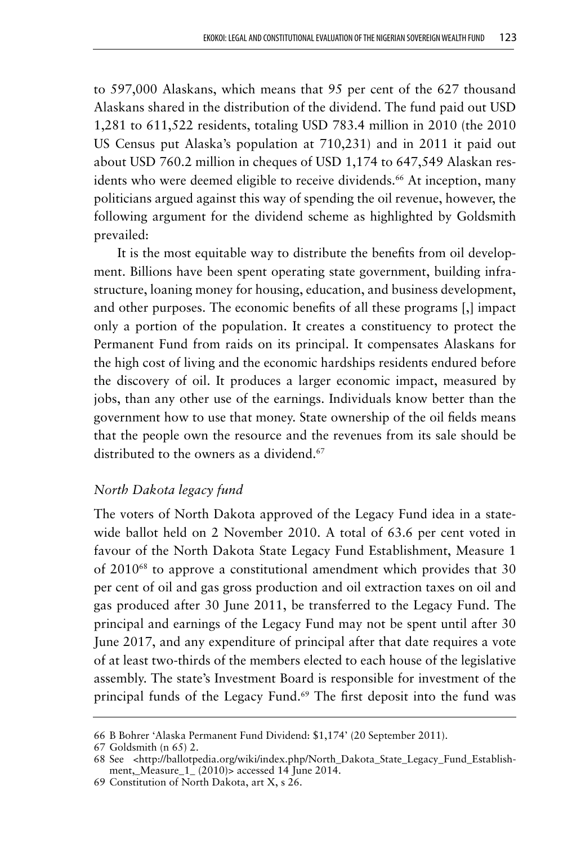to 597,000 Alaskans, which means that 95 per cent of the 627 thousand Alaskans shared in the distribution of the dividend. The fund paid out USD 1,281 to 611,522 residents, totaling USD 783.4 million in 2010 (the 2010 US Census put Alaska's population at 710,231) and in 2011 it paid out about USD 760.2 million in cheques of USD 1,174 to 647,549 Alaskan residents who were deemed eligible to receive dividends.<sup>66</sup> At inception, many politicians argued against this way of spending the oil revenue, however, the following argument for the dividend scheme as highlighted by Goldsmith prevailed:

It is the most equitable way to distribute the benefits from oil development. Billions have been spent operating state government, building infrastructure, loaning money for housing, education, and business development, and other purposes. The economic benefits of all these programs [,] impact only a portion of the population. It creates a constituency to protect the Permanent Fund from raids on its principal. It compensates Alaskans for the high cost of living and the economic hardships residents endured before the discovery of oil. It produces a larger economic impact, measured by jobs, than any other use of the earnings. Individuals know better than the government how to use that money. State ownership of the oil fields means that the people own the resource and the revenues from its sale should be distributed to the owners as a dividend.<sup>67</sup>

### *North Dakota legacy fund*

The voters of North Dakota approved of the Legacy Fund idea in a statewide ballot held on 2 November 2010. A total of 63.6 per cent voted in favour of the North Dakota State Legacy Fund Establishment, Measure 1 of 201068 to approve a constitutional amendment which provides that 30 per cent of oil and gas gross production and oil extraction taxes on oil and gas produced after 30 June 2011, be transferred to the Legacy Fund. The principal and earnings of the Legacy Fund may not be spent until after 30 June 2017, and any expenditure of principal after that date requires a vote of at least two-thirds of the members elected to each house of the legislative assembly. The state's Investment Board is responsible for investment of the principal funds of the Legacy Fund.<sup>69</sup> The first deposit into the fund was

<sup>66</sup> B Bohrer 'Alaska Permanent Fund Dividend: \$1,174' (20 September 2011).

<sup>67</sup> Goldsmith (n 65) 2.

<sup>68</sup> See <http://ballotpedia.org/wiki/index.php/North\_Dakota\_State\_Legacy\_Fund\_Establishment,\_Measure\_1\_ (2010)> accessed 14 June 2014.

<sup>69</sup> Constitution of North Dakota, art X, s 26.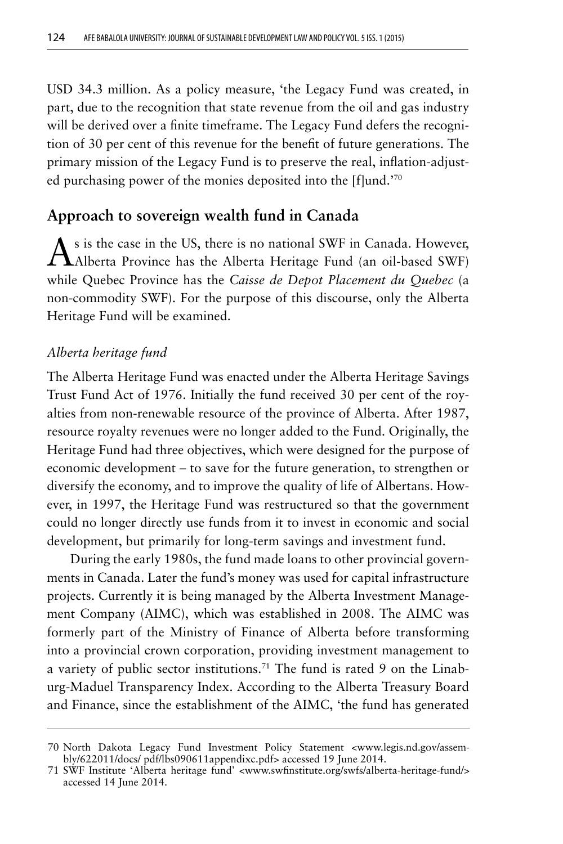USD 34.3 million. As a policy measure, 'the Legacy Fund was created, in part, due to the recognition that state revenue from the oil and gas industry will be derived over a finite timeframe. The Legacy Fund defers the recognition of 30 per cent of this revenue for the benefit of future generations. The primary mission of the Legacy Fund is to preserve the real, inflation-adjusted purchasing power of the monies deposited into the [f]und.'70

## **Approach to sovereign wealth fund in Canada**

 $\mathbf A$ s is the case in the US, there is no national SWF in Canada. However, Alberta Province has the Alberta Heritage Fund (an oil-based SWF) while Quebec Province has the *Caisse de Depot Placement du Quebec* (a non-commodity SWF). For the purpose of this discourse, only the Alberta Heritage Fund will be examined.

#### *Alberta heritage fund*

The Alberta Heritage Fund was enacted under the Alberta Heritage Savings Trust Fund Act of 1976. Initially the fund received 30 per cent of the royalties from non-renewable resource of the province of Alberta. After 1987, resource royalty revenues were no longer added to the Fund. Originally, the Heritage Fund had three objectives, which were designed for the purpose of economic development – to save for the future generation, to strengthen or diversify the economy, and to improve the quality of life of Albertans. However, in 1997, the Heritage Fund was restructured so that the government could no longer directly use funds from it to invest in economic and social development, but primarily for long-term savings and investment fund.

During the early 1980s, the fund made loans to other provincial governments in Canada. Later the fund's money was used for capital infrastructure projects. Currently it is being managed by the Alberta Investment Management Company (AIMC), which was established in 2008. The AIMC was formerly part of the Ministry of Finance of Alberta before transforming into a provincial crown corporation, providing investment management to a variety of public sector institutions.<sup>71</sup> The fund is rated 9 on the Linaburg-Maduel Transparency Index. According to the Alberta Treasury Board and Finance, since the establishment of the AIMC, 'the fund has generated

<sup>70</sup> North Dakota Legacy Fund Investment Policy Statement <www.legis.nd.gov/assembly/622011/docs/ pdf/lbs090611appendixc.pdf> accessed 19 June 2014.

<sup>71</sup> SWF Institute 'Alberta heritage fund' <www.swfinstitute.org/swfs/alberta-heritage-fund/> accessed 14 June 2014.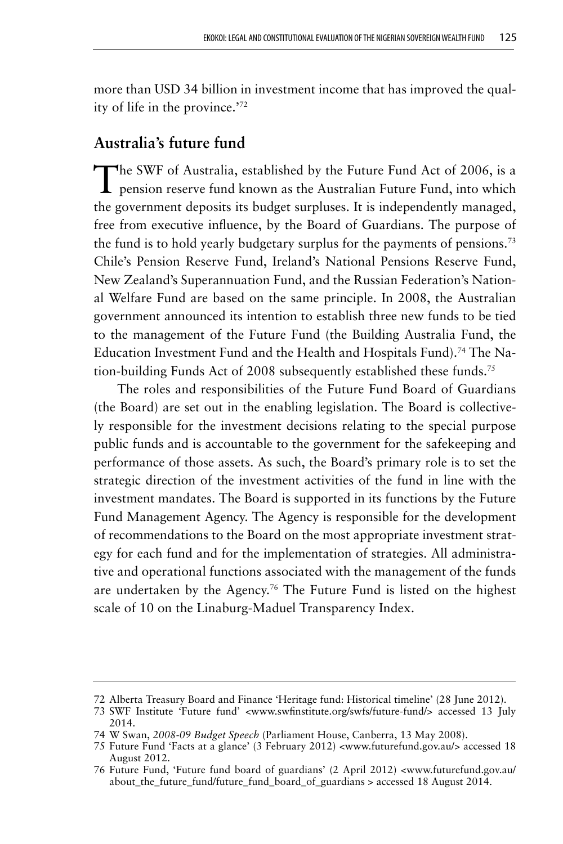more than USD 34 billion in investment income that has improved the quality of life in the province.'72

## **Australia's future fund**

The SWF of Australia, established by the Future Fund Act of 2006, is a pension reserve fund known as the Australian Future Fund, into which the government deposits its budget surpluses. It is independently managed, free from executive influence, by the Board of Guardians. The purpose of the fund is to hold yearly budgetary surplus for the payments of pensions.<sup>73</sup> Chile's Pension Reserve Fund, Ireland's National Pensions Reserve Fund, New Zealand's Superannuation Fund, and the Russian Federation's National Welfare Fund are based on the same principle. In 2008, the Australian government announced its intention to establish three new funds to be tied to the management of the Future Fund (the Building Australia Fund, the Education Investment Fund and the Health and Hospitals Fund).<sup>74</sup> The Nation-building Funds Act of 2008 subsequently established these funds.75

The roles and responsibilities of the Future Fund Board of Guardians (the Board) are set out in the enabling legislation. The Board is collectively responsible for the investment decisions relating to the special purpose public funds and is accountable to the government for the safekeeping and performance of those assets. As such, the Board's primary role is to set the strategic direction of the investment activities of the fund in line with the investment mandates. The Board is supported in its functions by the Future Fund Management Agency. The Agency is responsible for the development of recommendations to the Board on the most appropriate investment strategy for each fund and for the implementation of strategies. All administrative and operational functions associated with the management of the funds are undertaken by the Agency.<sup>76</sup> The Future Fund is listed on the highest scale of 10 on the Linaburg-Maduel Transparency Index.

<sup>72</sup> Alberta Treasury Board and Finance 'Heritage fund: Historical timeline' (28 June 2012).

<sup>73</sup> SWF Institute 'Future fund' <www.swfinstitute.org/swfs/future-fund/> accessed 13 July 2014.

<sup>74</sup> W Swan, *2008-09 Budget Speech* (Parliament House, Canberra, 13 May 2008).

<sup>75</sup> Future Fund 'Facts at a glance' (3 February 2012) <www.futurefund.gov.au/> accessed 18 August 2012.

<sup>76</sup> Future Fund, 'Future fund board of guardians' (2 April 2012) <www.futurefund.gov.au/ about\_the\_future\_fund/future\_fund\_board\_of\_guardians > accessed 18 August 2014.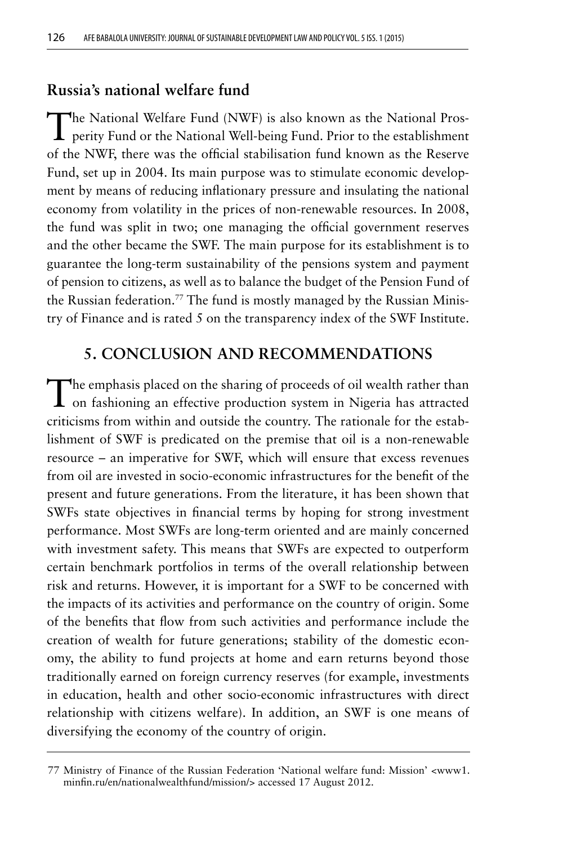## **Russia's national welfare fund**

The National Welfare Fund (NWF) is also known as the National Pros-**L** perity Fund or the National Well-being Fund. Prior to the establishment of the NWF, there was the official stabilisation fund known as the Reserve Fund, set up in 2004. Its main purpose was to stimulate economic development by means of reducing inflationary pressure and insulating the national economy from volatility in the prices of non-renewable resources. In 2008, the fund was split in two; one managing the official government reserves and the other became the SWF. The main purpose for its establishment is to guarantee the long-term sustainability of the pensions system and payment of pension to citizens, as well as to balance the budget of the Pension Fund of the Russian federation.<sup>77</sup> The fund is mostly managed by the Russian Ministry of Finance and is rated 5 on the transparency index of the SWF Institute.

# **5. CONCLUSION AND RECOMMENDATIONS**

The emphasis placed on the sharing of proceeds of oil wealth rather than on fashioning an effective production system in Nigeria has attracted criticisms from within and outside the country. The rationale for the establishment of SWF is predicated on the premise that oil is a non-renewable resource – an imperative for SWF, which will ensure that excess revenues from oil are invested in socio-economic infrastructures for the benefit of the present and future generations. From the literature, it has been shown that SWFs state objectives in financial terms by hoping for strong investment performance. Most SWFs are long-term oriented and are mainly concerned with investment safety. This means that SWFs are expected to outperform certain benchmark portfolios in terms of the overall relationship between risk and returns. However, it is important for a SWF to be concerned with the impacts of its activities and performance on the country of origin. Some of the benefits that flow from such activities and performance include the creation of wealth for future generations; stability of the domestic economy, the ability to fund projects at home and earn returns beyond those traditionally earned on foreign currency reserves (for example, investments in education, health and other socio-economic infrastructures with direct relationship with citizens welfare). In addition, an SWF is one means of diversifying the economy of the country of origin.

<sup>77</sup> Ministry of Finance of the Russian Federation 'National welfare fund: Mission' <www1. minfin.ru/en/nationalwealthfund/mission/> accessed 17 August 2012.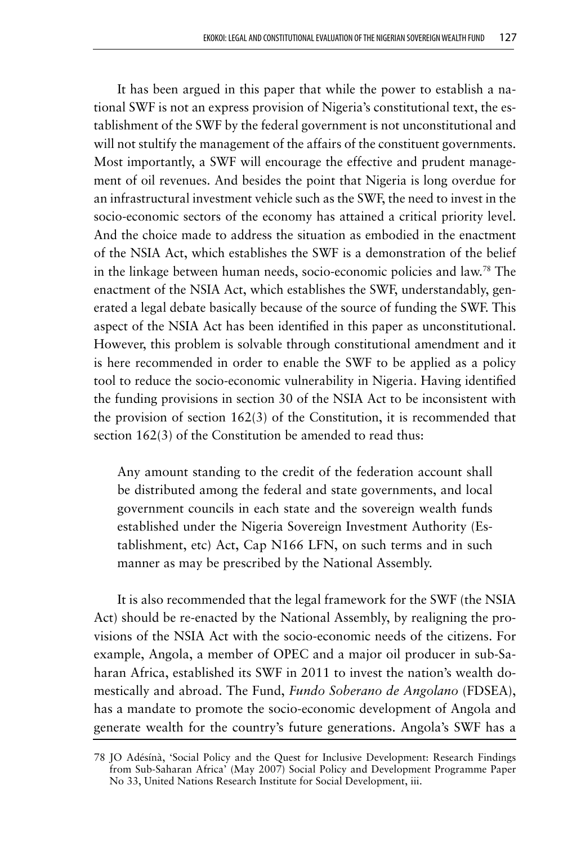It has been argued in this paper that while the power to establish a national SWF is not an express provision of Nigeria's constitutional text, the establishment of the SWF by the federal government is not unconstitutional and will not stultify the management of the affairs of the constituent governments. Most importantly, a SWF will encourage the effective and prudent management of oil revenues. And besides the point that Nigeria is long overdue for an infrastructural investment vehicle such as the SWF, the need to invest in the socio-economic sectors of the economy has attained a critical priority level. And the choice made to address the situation as embodied in the enactment of the NSIA Act, which establishes the SWF is a demonstration of the belief in the linkage between human needs, socio-economic policies and law.78 The enactment of the NSIA Act, which establishes the SWF, understandably, generated a legal debate basically because of the source of funding the SWF. This aspect of the NSIA Act has been identified in this paper as unconstitutional. However, this problem is solvable through constitutional amendment and it is here recommended in order to enable the SWF to be applied as a policy tool to reduce the socio-economic vulnerability in Nigeria. Having identified the funding provisions in section 30 of the NSIA Act to be inconsistent with the provision of section 162(3) of the Constitution, it is recommended that section 162(3) of the Constitution be amended to read thus:

Any amount standing to the credit of the federation account shall be distributed among the federal and state governments, and local government councils in each state and the sovereign wealth funds established under the Nigeria Sovereign Investment Authority (Establishment, etc) Act, Cap N166 LFN, on such terms and in such manner as may be prescribed by the National Assembly.

It is also recommended that the legal framework for the SWF (the NSIA Act) should be re-enacted by the National Assembly, by realigning the provisions of the NSIA Act with the socio-economic needs of the citizens. For example, Angola, a member of OPEC and a major oil producer in sub-Saharan Africa, established its SWF in 2011 to invest the nation's wealth domestically and abroad. The Fund, *Fundo Soberano de Angolano* (FDSEA), has a mandate to promote the socio-economic development of Angola and generate wealth for the country's future generations. Angola's SWF has a

<sup>78</sup> JO Adésínà, 'Social Policy and the Quest for Inclusive Development: Research Findings from Sub-Saharan Africa' (May 2007) Social Policy and Development Programme Paper No 33, United Nations Research Institute for Social Development, iii.